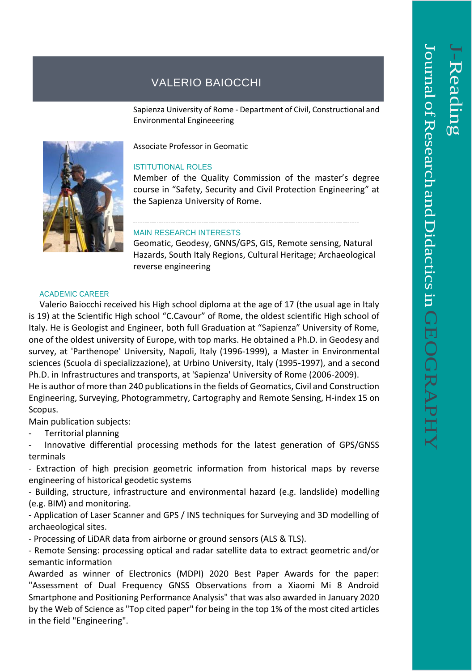## VALERIO BAIOCCHI

Sapienza University of Rome - Department of Civil, Constructional and Environmental Engineeering



Associate Professor in Geomatic

## ISTITUTIONAL ROLES

Member of the Quality Commission of the master's degree course in "Safety, Security and Civil Protection Engineering" at the Sapienza University of Rome.

## MAIN RESEARCH INTERESTS

Geomatic, Geodesy, GNNS/GPS, GIS, Remote sensing, Natural Hazards, South Italy Regions, Cultural Heritage; Archaeological reverse engineering

## ACADEMIC CAREER

 Valerio Baiocchi received his High school diploma at the age of 17 (the usual age in Italy is 19) at the Scientific High school "C.Cavour" of Rome, the oldest scientific High school of Italy. He is Geologist and Engineer, both full Graduation at "Sapienza" University of Rome, one of the oldest university of Europe, with top marks. He obtained a Ph.D. in Geodesy and survey, at 'Parthenope' University, Napoli, Italy (1996-1999), a Master in Environmental sciences (Scuola di specializzazione), at Urbino University, Italy (1995-1997), and a second Ph.D. in Infrastructures and transports, at 'Sapienza' University of Rome (2006-2009).

He is author of more than 240 publications in the fields of Geomatics, Civil and Construction Engineering, Surveying, Photogrammetry, Cartography and Remote Sensing, H-index 15 on Scopus.

Main publication subjects:

- Territorial planning

Innovative differential processing methods for the latest generation of GPS/GNSS terminals

- Extraction of high precision geometric information from historical maps by reverse engineering of historical geodetic systems

- Building, structure, infrastructure and environmental hazard (e.g. landslide) modelling (e.g. BIM) and monitoring.

- Application of Laser Scanner and GPS / INS techniques for Surveying and 3D modelling of archaeological sites.

- Processing of LiDAR data from airborne or ground sensors (ALS & TLS).

- Remote Sensing: processing optical and radar satellite data to extract geometric and/or semantic information

Awarded as winner of Electronics (MDPI) 2020 Best Paper Awards for the paper: "Assessment of Dual Frequency GNSS Observations from a Xiaomi Mi 8 Android Smartphone and Positioning Performance Analysis" that was also awarded in January 2020 by the Web of Science as "Top cited paper" for being in the top 1% of the most cited articles in the field "Engineering".

 $\overline{\phantom{0}}$ 

-Reading